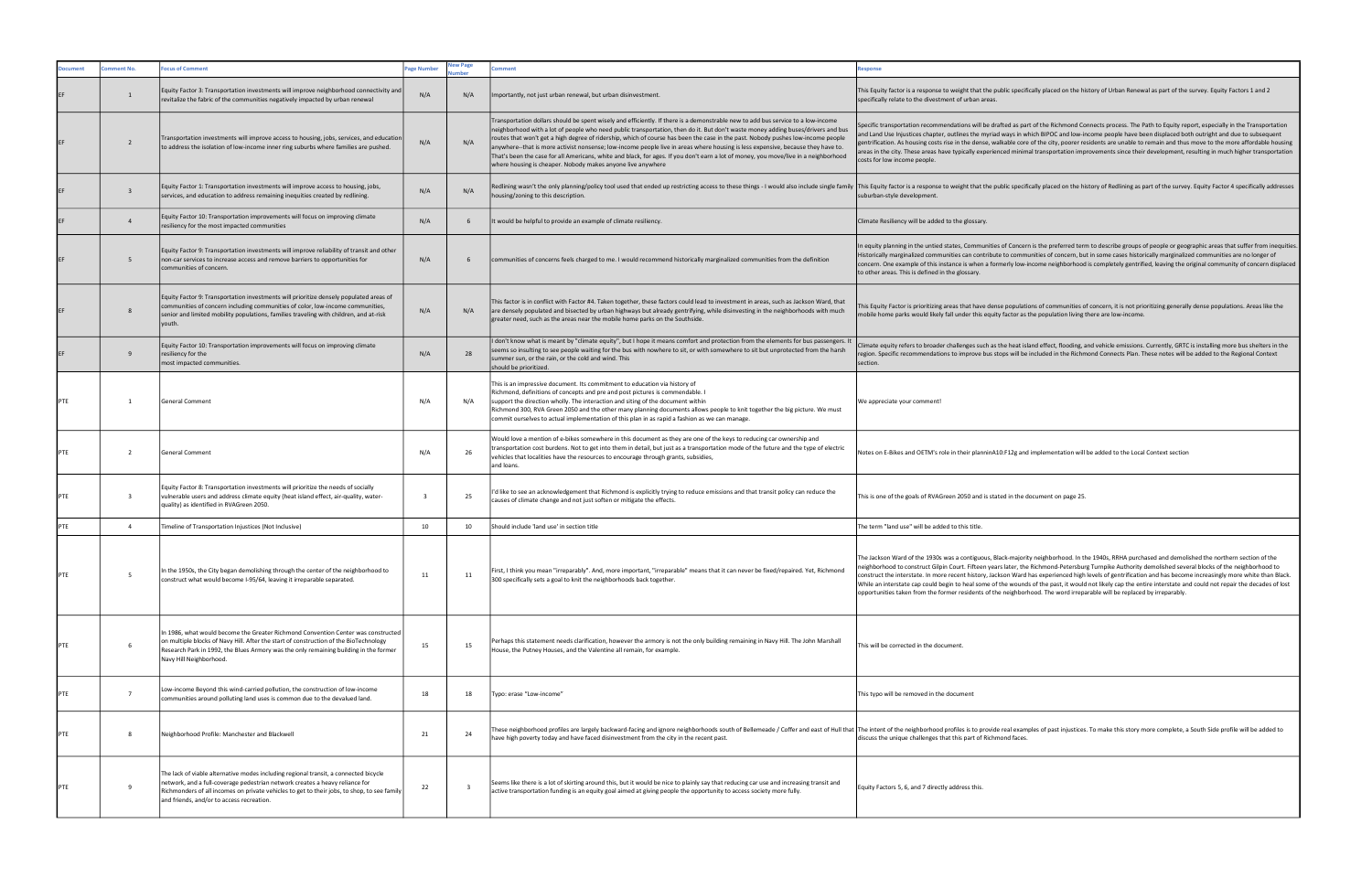| ocument | omment No.              | <b>Cocus of Comment</b>                                                                                                                                                                                                                                                                                          | age Number | lew Page<br>umber | omment                                                                                                                                                                                                                                                                                                                                                                                                                                                                                                                                                                                                                                                                                                                                              | esponse                                                                                                                                                                                                                                                                                                                                                                                                                                        |
|---------|-------------------------|------------------------------------------------------------------------------------------------------------------------------------------------------------------------------------------------------------------------------------------------------------------------------------------------------------------|------------|-------------------|-----------------------------------------------------------------------------------------------------------------------------------------------------------------------------------------------------------------------------------------------------------------------------------------------------------------------------------------------------------------------------------------------------------------------------------------------------------------------------------------------------------------------------------------------------------------------------------------------------------------------------------------------------------------------------------------------------------------------------------------------------|------------------------------------------------------------------------------------------------------------------------------------------------------------------------------------------------------------------------------------------------------------------------------------------------------------------------------------------------------------------------------------------------------------------------------------------------|
| EF      | $\mathbf{1}$            | Equity Factor 3: Transportation investments will improve neighborhood connectivity and<br>revitalize the fabric of the communities negatively impacted by urban renewal                                                                                                                                          | N/A        | N/A               | Importantly, not just urban renewal, but urban disinvestment.                                                                                                                                                                                                                                                                                                                                                                                                                                                                                                                                                                                                                                                                                       | This Equity factor is a response to weight that the public specifically placed on the hi<br>specifically relate to the divestment of urban areas.                                                                                                                                                                                                                                                                                              |
|         | $\overline{2}$          | Transportation investments will improve access to housing, jobs, services, and education<br>to address the isolation of low-income inner ring suburbs where families are pushed.                                                                                                                                 | N/A        | N/A               | Transportation dollars should be spent wisely and efficiently. If there is a demonstrable new to add bus service to a low-income<br>neighborhood with a lot of people who need public transportation, then do it. But don't waste money adding buses/drivers and bus<br>routes that won't get a high degree of ridership, which of course has been the case in the past. Nobody pushes low-income people<br>anywhere--that is more activist nonsense; low-income people live in areas where housing is less expensive, because they have to.<br>That's been the case for all Americans, white and black, for ages. If you don't earn a lot of money, you move/live in a neighborhood<br>where housing is cheaper. Nobody makes anyone live anywhere | Specific transportation recommendations will be drafted as part of the Richmond Co<br>and Land Use Injustices chapter, outlines the myriad ways in which BIPOC and low-ir<br>gentrification. As housing costs rise in the dense, walkable core of the city, poorer re<br>areas in the city. These areas have typically experienced minimal transportation imp<br>costs for low income people.                                                  |
|         | $\overline{\mathbf{3}}$ | Equity Factor 1: Transportation investments will improve access to housing, jobs,<br>services, and education to address remaining inequities created by redlining.                                                                                                                                               | N/A        | N/A               | Redlining wasn't the only planning/policy tool used that ended up restricting access to these things - I would also include single family  This Equity factor is a response to weight that the public specifically placed on t<br>housing/zoning to this description.                                                                                                                                                                                                                                                                                                                                                                                                                                                                               | suburban-style development.                                                                                                                                                                                                                                                                                                                                                                                                                    |
|         | $\overline{4}$          | Equity Factor 10: Transportation improvements will focus on improving climate<br>resiliency for the most impacted communities                                                                                                                                                                                    | N/A        | 6                 | It would be helpful to provide an example of climate resiliency.                                                                                                                                                                                                                                                                                                                                                                                                                                                                                                                                                                                                                                                                                    | Climate Resiliency will be added to the glossary.                                                                                                                                                                                                                                                                                                                                                                                              |
|         | 5                       | Equity Factor 9: Transportation investments will improve reliability of transit and other<br>non-car services to increase access and remove barriers to opportunities for<br>communities of concern.                                                                                                             | N/A        | 6                 | communities of concerns feels charged to me. I would recommend historically marginalized communities from the definition                                                                                                                                                                                                                                                                                                                                                                                                                                                                                                                                                                                                                            | In equity planning in the untied states, Communities of Concern is the preferred terr<br>Historically marginalized communities can contribute to communities of concern, bu<br>concern. One example of this instance is when a formerly low-income neighborhood<br>to other areas. This is defined in the glossary.                                                                                                                            |
|         | 8                       | Equity Factor 9: Transportation investments will prioritize densely populated areas of<br>communities of concern including communities of color, low-income communities,<br>senior and limited mobility populations, families traveling with children, and at-risk<br>youth.                                     | N/A        | N/A               | This factor is in conflict with Factor #4. Taken together, these factors could lead to investment in areas, such as Jackson Ward, that<br>are densely populated and bisected by urban highways but already gentrifying, while disinvesting in the neighborhoods with much<br>greater need, such as the areas near the mobile home parks on the Southside.                                                                                                                                                                                                                                                                                                                                                                                           | This Equity Factor is prioritizing areas that have dense populations of communities o<br>nobile home parks would likely fall under this equity factor as the population living t                                                                                                                                                                                                                                                               |
|         | 9                       | Equity Factor 10: Transportation improvements will focus on improving climate<br>resiliency for the<br>most impacted communities.                                                                                                                                                                                | N/A        | 28                | I don't know what is meant by "climate equity", but I hope it means comfort and protection from the elements for bus passengers. It<br>seems so insulting to see people waiting for the bus with nowhere to sit, or with somewhere to sit but unprotected from the harsh<br>summer sun, or the rain, or the cold and wind. This<br>should be prioritized.                                                                                                                                                                                                                                                                                                                                                                                           | Climate equity refers to broader challenges such as the heat island effect, flooding, a<br>egion. Specific recommendations to improve bus stops will be included in the Richn<br>section.                                                                                                                                                                                                                                                      |
| PTE     | -1                      | General Comment                                                                                                                                                                                                                                                                                                  | N/A        | N/A               | This is an impressive document. Its commitment to education via history of<br>Richmond, definitions of concepts and pre and post pictures is commendable. I<br>support the direction wholly. The interaction and siting of the document within<br>Richmond 300, RVA Green 2050 and the other many planning documents allows people to knit together the big picture. We must<br>commit ourselves to actual implementation of this plan in as rapid a fashion as we can manage.                                                                                                                                                                                                                                                                      | We appreciate your comment!                                                                                                                                                                                                                                                                                                                                                                                                                    |
| PTE     | $\overline{2}$          | General Comment                                                                                                                                                                                                                                                                                                  | N/A        | 26                | Would love a mention of e-bikes somewhere in this document as they are one of the keys to reducing car ownership and<br>transportation cost burdens. Not to get into them in detail, but just as a transportation mode of the future and the type of electric<br>vehicles that localities have the resources to encourage through grants, subsidies,<br>and loans.                                                                                                                                                                                                                                                                                                                                                                                  | Notes on E-Bikes and OETM's role in their planninA10:F12g and implementation will                                                                                                                                                                                                                                                                                                                                                              |
| PTE     | $\overline{\mathbf{3}}$ | Equity Factor 8: Transportation investments will prioritize the needs of socially<br>vulnerable users and address climate equity (heat island effect, air-quality, water-<br>quality) as identified in RVAGreen 2050.                                                                                            | 3          | 25                | I'd like to see an acknowledgement that Richmond is explicitly trying to reduce emissions and that transit policy can reduce the<br>causes of climate change and not just soften or mitigate the effects.                                                                                                                                                                                                                                                                                                                                                                                                                                                                                                                                           | This is one of the goals of RVAGreen 2050 and is stated in the document on page 25.                                                                                                                                                                                                                                                                                                                                                            |
| PTE     | $\overline{4}$          | Timeline of Transportation Injustices (Not Inclusive)                                                                                                                                                                                                                                                            | 10         | 10                | Should include 'land use' in section title                                                                                                                                                                                                                                                                                                                                                                                                                                                                                                                                                                                                                                                                                                          | The term "land use" will be added to this title.                                                                                                                                                                                                                                                                                                                                                                                               |
| PTE     | -5                      | In the 1950s, the City began demolishing through the center of the neighborhood to<br>construct what would become I-95/64, leaving it irreparable separated.                                                                                                                                                     | 11         | 11                | First, I think you mean "irreparably". And, more important, "irreparable" means that it can never be fixed/repaired. Yet, Richmond<br>300 specifically sets a goal to knit the neighborhoods back together.                                                                                                                                                                                                                                                                                                                                                                                                                                                                                                                                         | The Jackson Ward of the 1930s was a contiguous, Black-majority neighborhood. In th<br>neighborhood to construct Gilpin Court. Fifteen years later, the Richmond-Petersbur<br>construct the interstate. In more recent history, Jackson Ward has experienced high<br>While an interstate cap could begin to heal some of the wounds of the past, it would<br>opportunities taken from the former residents of the neighborhood. The word irrepa |
| PTE     | 6                       | In 1986, what would become the Greater Richmond Convention Center was constructed<br>on multiple blocks of Navy Hill. After the start of construction of the BioTechnology<br>Research Park in 1992, the Blues Armory was the only remaining building in the former<br>Navy Hill Neighborhood.                   | 15         | 15                | Perhaps this statement needs clarification, however the armory is not the only building remaining in Navy Hill. The John Marshall<br>House, the Putney Houses, and the Valentine all remain, for example.                                                                                                                                                                                                                                                                                                                                                                                                                                                                                                                                           | This will be corrected in the document.                                                                                                                                                                                                                                                                                                                                                                                                        |
| PTE     | $\overline{7}$          | Low-income Beyond this wind-carried pollution, the construction of low-income<br>communities around polluting land uses is common due to the devalued land.                                                                                                                                                      | 18         | 18                | Typo: erase "Low-income"                                                                                                                                                                                                                                                                                                                                                                                                                                                                                                                                                                                                                                                                                                                            | This typo will be removed in the document                                                                                                                                                                                                                                                                                                                                                                                                      |
| PTE     | 8                       | Neighborhood Profile: Manchester and Blackwell                                                                                                                                                                                                                                                                   | 21         | 24                | hese neighborhood profiles are largely backward-facing and ignore neighborhoods south of Bellemeade / Coffer and east of Hull that  The intent of the neighborhood profiles is to provide real examples of past injustices<br>have high poverty today and have faced disinvestment from the city in the recent past.                                                                                                                                                                                                                                                                                                                                                                                                                                | discuss the unique challenges that this part of Richmond faces.                                                                                                                                                                                                                                                                                                                                                                                |
| PTE     | 9                       | The lack of viable alternative modes including regional transit, a connected bicycle<br>network, and a full-coverage pedestrian network creates a heavy reliance for<br>Richmonders of all incomes on private vehicles to get to their jobs, to shop, to see family<br>and friends, and/or to access recreation. | 22         | 3                 | Seems like there is a lot of skirting around this, but it would be nice to plainly say that reducing car use and increasing transit and<br>active transportation funding is an equity goal aimed at giving people the opportunity to access society more fully.                                                                                                                                                                                                                                                                                                                                                                                                                                                                                     | Equity Factors 5, 6, and 7 directly address this.                                                                                                                                                                                                                                                                                                                                                                                              |

lic specifically placed on the history of Urban Renewal as part of the survey. Equity Factors 1 and 2

ed as part of the Richmond Connects process. The Path to Equity report, especially in the Transportation and use in the muriam Land Use Indiana people have been displaced both outright and due to subsequent egent minus.<br>able core of the city, poorer residents are unable to remain and thus move to the more affordable housing are served the city, poore. The citypical interest of the content and the citypical minimal transportation improvements since their development, resulting in much higher transportation

Iic specifically placed on the history of Redlining as part of the survey. Equity Factor 4 specifically addresses

In equity planning in the untied states, Communities of Concern is the preferred term to describe groups of people or geographic areas that suffer from inequities.<br>Historically marginalized communities can contribute to co erly low-income neighborhood is completely gentrified, leaving the original community of concern displaced

> populations of communities of concern, it is not prioritizing generally dense populations. Areas like the factor as the population living there are low-income.

e heat island effect, flooding, and vehicle emissions. Currently, GRTC is installing more bus shelters in the is will be included in the Richmond Connects Plan. These notes will be added to the Regional Context

F12g and implementation will be added to the Local Context section

k-majority neighborhood. In the 1940s, RRHA purchased and demolished the northern section of the neighborhood to construct Gilpin Court. Fifteen years later, the Richmond-Petersburg Turnpike Authority demolished several blocks of the neighborhood to<br>construct the interstate. In more recent history, Jackson Ward has ex e wounds of the past, it would not likely cap the entire interstate and could not repair the decades of lost neighborhood. The word irreparable will be replaced by irreparably.

> eal examples of past injustices. To make this story more complete, a South Side profile will be added to nd faces.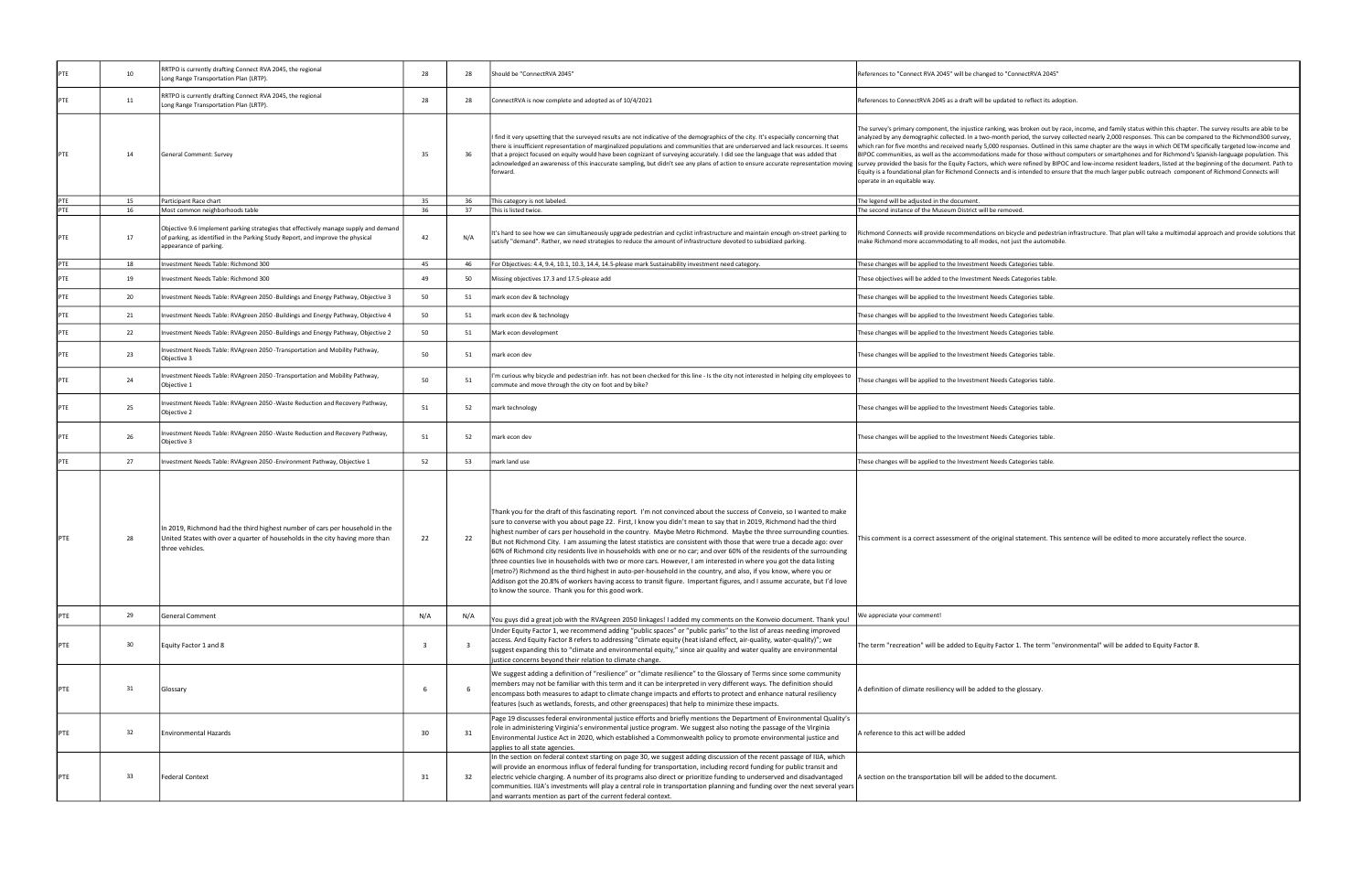| PTE | 10 | RRTPO is currently drafting Connect RVA 2045, the regional<br>Long Range Transportation Plan (LRTP).                                                                                              | 28  | 28                      | Should be "ConnectRVA 2045"                                                                                                                                                                                                                                                                                                                                                                                                                                                                                                                                                                                                                                                                                                                                                                                                                                                                                                                                                                                                                       | References to "Connect RVA 2045" will be changed to "ConnectRVA 2045"                                                                                                                                                                                                                                                                                                                                                                                                                                                                                |
|-----|----|---------------------------------------------------------------------------------------------------------------------------------------------------------------------------------------------------|-----|-------------------------|---------------------------------------------------------------------------------------------------------------------------------------------------------------------------------------------------------------------------------------------------------------------------------------------------------------------------------------------------------------------------------------------------------------------------------------------------------------------------------------------------------------------------------------------------------------------------------------------------------------------------------------------------------------------------------------------------------------------------------------------------------------------------------------------------------------------------------------------------------------------------------------------------------------------------------------------------------------------------------------------------------------------------------------------------|------------------------------------------------------------------------------------------------------------------------------------------------------------------------------------------------------------------------------------------------------------------------------------------------------------------------------------------------------------------------------------------------------------------------------------------------------------------------------------------------------------------------------------------------------|
| PTE | 11 | RRTPO is currently drafting Connect RVA 2045, the regional<br>Long Range Transportation Plan (LRTP).                                                                                              | 28  | 28                      | ConnectRVA is now complete and adopted as of 10/4/2021                                                                                                                                                                                                                                                                                                                                                                                                                                                                                                                                                                                                                                                                                                                                                                                                                                                                                                                                                                                            | References to ConnectRVA 2045 as a draft will be updated to reflect its adoption.                                                                                                                                                                                                                                                                                                                                                                                                                                                                    |
| PTE | 14 | General Comment: Survey                                                                                                                                                                           | 35  | 36                      | I find it very upsetting that the surveyed results are not indicative of the demographics of the city. It's especially concerning that<br>there is insufficient representation of marginalized populations and communities that are underserved and lack resources. It seems<br>that a project focused on equity would have been cognizant of surveying accurately. I did see the language that was added that<br>acknowledged an awareness of this inaccurate sampling, but didn't see any plans of action to ensure accurate representation moving<br>forward.                                                                                                                                                                                                                                                                                                                                                                                                                                                                                  | The survey's primary component, the injustice ranking, was broken out by race, in<br>analyzed by any demographic collected. In a two-month period, the survey collect<br>which ran for five months and received nearly 5,000 responses. Outlined in this sa<br>BIPOC communities, as well as the accommodations made for those without com<br>survey provided the basis for the Equity Factors, which were refined by BIPOC and<br>Equity is a foundational plan for Richmond Connects and is intended to ensure tha<br>operate in an equitable way. |
| PTE | 15 | Participant Race chart                                                                                                                                                                            | 35  | 36                      | This category is not labeled.                                                                                                                                                                                                                                                                                                                                                                                                                                                                                                                                                                                                                                                                                                                                                                                                                                                                                                                                                                                                                     | The legend will be adjusted in the document.                                                                                                                                                                                                                                                                                                                                                                                                                                                                                                         |
| PTE | 16 | Most common neighborhoods table                                                                                                                                                                   | 36  | 37                      | This is listed twice.                                                                                                                                                                                                                                                                                                                                                                                                                                                                                                                                                                                                                                                                                                                                                                                                                                                                                                                                                                                                                             | The second instance of the Museum District will be removed.                                                                                                                                                                                                                                                                                                                                                                                                                                                                                          |
| PTE | 17 | Objective 9.6 Implement parking strategies that effectively manage supply and demand<br>of parking, as identified in the Parking Study Report, and improve the physical<br>appearance of parking. | 42  | N/A                     | It's hard to see how we can simultaneously upgrade pedestrian and cyclist infrastructure and maintain enough on-street parking to<br>satisfy "demand". Rather, we need strategies to reduce the amount of infrastructure devoted to subsidized parking.                                                                                                                                                                                                                                                                                                                                                                                                                                                                                                                                                                                                                                                                                                                                                                                           | Richmond Connects will provide recommendations on bicycle and pedestrian infra<br>make Richmond more accommodating to all modes, not just the automobile.                                                                                                                                                                                                                                                                                                                                                                                            |
| PTE | 18 | Investment Needs Table: Richmond 300                                                                                                                                                              | 45  | 46                      | For Objectives: 4.4, 9.4, 10.1, 10.3, 14.4, 14.5-please mark Sustainability investment need category.                                                                                                                                                                                                                                                                                                                                                                                                                                                                                                                                                                                                                                                                                                                                                                                                                                                                                                                                             | hese changes will be applied to the Investment Needs Categories table.                                                                                                                                                                                                                                                                                                                                                                                                                                                                               |
| PTE | 19 | Investment Needs Table: Richmond 300                                                                                                                                                              | 49  | 50                      | Missing objectives 17.3 and 17.5-please add                                                                                                                                                                                                                                                                                                                                                                                                                                                                                                                                                                                                                                                                                                                                                                                                                                                                                                                                                                                                       | These objectives will be added to the Investment Needs Categories table.                                                                                                                                                                                                                                                                                                                                                                                                                                                                             |
| PTE | 20 | Investment Needs Table: RVAgreen 2050 -Buildings and Energy Pathway, Objective 3                                                                                                                  | 50  | 51                      | mark econ dev & technology                                                                                                                                                                                                                                                                                                                                                                                                                                                                                                                                                                                                                                                                                                                                                                                                                                                                                                                                                                                                                        | These changes will be applied to the Investment Needs Categories table.                                                                                                                                                                                                                                                                                                                                                                                                                                                                              |
| PTE | 21 | Investment Needs Table: RVAgreen 2050 -Buildings and Energy Pathway, Objective 4                                                                                                                  | 50  | 51                      | mark econ dev & technology                                                                                                                                                                                                                                                                                                                                                                                                                                                                                                                                                                                                                                                                                                                                                                                                                                                                                                                                                                                                                        | These changes will be applied to the Investment Needs Categories table.                                                                                                                                                                                                                                                                                                                                                                                                                                                                              |
| PTE | 22 | Investment Needs Table: RVAgreen 2050 -Buildings and Energy Pathway, Objective 2                                                                                                                  | 50  | 51                      | Mark econ development                                                                                                                                                                                                                                                                                                                                                                                                                                                                                                                                                                                                                                                                                                                                                                                                                                                                                                                                                                                                                             | These changes will be applied to the Investment Needs Categories table.                                                                                                                                                                                                                                                                                                                                                                                                                                                                              |
| PTE | 23 | Investment Needs Table: RVAgreen 2050 - Transportation and Mobility Pathway,<br>Objective 3                                                                                                       | 50  | 51                      | mark econ dev                                                                                                                                                                                                                                                                                                                                                                                                                                                                                                                                                                                                                                                                                                                                                                                                                                                                                                                                                                                                                                     | These changes will be applied to the Investment Needs Categories table.                                                                                                                                                                                                                                                                                                                                                                                                                                                                              |
| PTE | 24 | Investment Needs Table: RVAgreen 2050 - Transportation and Mobility Pathway,<br>Objective 1                                                                                                       | 50  | 51                      | I'm curious why bicycle and pedestrian infr. has not been checked for this line - Is the city not interested in helping city employees to<br>commute and move through the city on foot and by bike?                                                                                                                                                                                                                                                                                                                                                                                                                                                                                                                                                                                                                                                                                                                                                                                                                                               | These changes will be applied to the Investment Needs Categories table.                                                                                                                                                                                                                                                                                                                                                                                                                                                                              |
| PTE | 25 | Investment Needs Table: RVAgreen 2050 - Waste Reduction and Recovery Pathway,<br>Objective 2                                                                                                      | 51  | 52                      | mark technology                                                                                                                                                                                                                                                                                                                                                                                                                                                                                                                                                                                                                                                                                                                                                                                                                                                                                                                                                                                                                                   | These changes will be applied to the Investment Needs Categories table.                                                                                                                                                                                                                                                                                                                                                                                                                                                                              |
| PTE | 26 | Investment Needs Table: RVAgreen 2050 - Waste Reduction and Recovery Pathway,<br>Objective 3                                                                                                      | 51  | 52                      | mark econ dev                                                                                                                                                                                                                                                                                                                                                                                                                                                                                                                                                                                                                                                                                                                                                                                                                                                                                                                                                                                                                                     | These changes will be applied to the Investment Needs Categories table.                                                                                                                                                                                                                                                                                                                                                                                                                                                                              |
| PTE | 27 | Investment Needs Table: RVAgreen 2050 - Environment Pathway, Objective 1                                                                                                                          | 52  | 53                      | mark land use                                                                                                                                                                                                                                                                                                                                                                                                                                                                                                                                                                                                                                                                                                                                                                                                                                                                                                                                                                                                                                     | These changes will be applied to the Investment Needs Categories table.                                                                                                                                                                                                                                                                                                                                                                                                                                                                              |
| PTE | 28 | In 2019, Richmond had the third highest number of cars per household in the<br>United States with over a quarter of households in the city having more than<br>three vehicles.                    | 22  | 22                      | Thank you for the draft of this fascinating report. I'm not convinced about the success of Conveio, so I wanted to make<br>sure to converse with you about page 22. First, I know you didn't mean to say that in 2019, Richmond had the third<br>highest number of cars per household in the country. Maybe Metro Richmond. Maybe the three surrounding counties.<br>But not Richmond City. I am assuming the latest statistics are consistent with those that were true a decade ago: over<br>60% of Richmond city residents live in households with one or no car; and over 60% of the residents of the surrounding<br>three counties live in households with two or more cars. However, I am interested in where you got the data listing<br>(metro?) Richmond as the third highest in auto-per-household in the country, and also, if you know, where you or<br>Addison got the 20.8% of workers having access to transit figure. Important figures, and I assume accurate, but I'd love<br>to know the source. Thank you for this good work. | This comment is a correct assessment of the original statement. This sente                                                                                                                                                                                                                                                                                                                                                                                                                                                                           |
| PTE | 29 | <b>General Comment</b>                                                                                                                                                                            | N/A | N/A                     | You guys did a great job with the RVAgreen 2050 linkages! I added my comments on the Konveio document. Thank you!                                                                                                                                                                                                                                                                                                                                                                                                                                                                                                                                                                                                                                                                                                                                                                                                                                                                                                                                 | We appreciate your comment!                                                                                                                                                                                                                                                                                                                                                                                                                                                                                                                          |
| PTE | 30 | Equity Factor 1 and 8                                                                                                                                                                             | 3   | $\overline{\mathbf{3}}$ | Under Equity Factor 1, we recommend adding "public spaces" or "public parks" to the list of areas needing improved<br>access. And Equity Factor 8 refers to addressing "climate equity (heat island effect, air-quality, water-quality)"; we<br>suggest expanding this to "climate and environmental equity," since air quality and water quality are environmental<br>justice concerns beyond their relation to climate change.                                                                                                                                                                                                                                                                                                                                                                                                                                                                                                                                                                                                                  | The term "recreation" will be added to Equity Factor 1. The term "environ                                                                                                                                                                                                                                                                                                                                                                                                                                                                            |
| PTE | 31 | Glossary                                                                                                                                                                                          |     | 6                       | We suggest adding a definition of "resilience" or "climate resilience" to the Glossary of Terms since some community<br>members may not be familiar with this term and it can be interpreted in very different ways. The definition should<br>encompass both measures to adapt to climate change impacts and efforts to protect and enhance natural resiliency<br>features (such as wetlands, forests, and other greenspaces) that help to minimize these impacts.                                                                                                                                                                                                                                                                                                                                                                                                                                                                                                                                                                                | A definition of climate resiliency will be added to the glossary.                                                                                                                                                                                                                                                                                                                                                                                                                                                                                    |
| PTE | 32 | <b>Environmental Hazards</b>                                                                                                                                                                      | 30  | 31                      | Page 19 discusses federal environmental justice efforts and briefly mentions the Department of Environmental Quality's<br>role in administering Virginia's environmental justice program. We suggest also noting the passage of the Virginia<br>Environmental Justice Act in 2020, which established a Commonwealth policy to promote environmental justice and<br>applies to all state agencies.                                                                                                                                                                                                                                                                                                                                                                                                                                                                                                                                                                                                                                                 | A reference to this act will be added                                                                                                                                                                                                                                                                                                                                                                                                                                                                                                                |
| PTE | 33 | <b>Federal Context</b>                                                                                                                                                                            | 31  | 32                      | In the section on federal context starting on page 30, we suggest adding discussion of the recent passage of IIJA, which<br>will provide an enormous influx of federal funding for transportation, including record funding for public transit and<br>electric vehicle charging. A number of its programs also direct or prioritize funding to underserved and disadvantaged<br>communities. IIJA's investments will play a central role in transportation planning and funding over the next several years<br>and warrants mention as part of the current federal context.                                                                                                                                                                                                                                                                                                                                                                                                                                                                       | A section on the transportation bill will be added to the document.                                                                                                                                                                                                                                                                                                                                                                                                                                                                                  |

The survey's primary component, the injustice ranking, was broken out by race, income, and family status within this chapter. The survey results are able to be<br>analyzed by any demographic collected. In a two-month period, BIPOC communities, as well as the accommodations made for those without computers or smartphones and for Richmond's Spanish-language population. This<br>survey provided the basis for the Equity Factors, which were refined by and is intended to ensure that the much larger public outreach component of Richmond Connects will

bicycle and pedestrian infrastructure. That plan will take a multimodal approach and provide solutions that ot just the automobile.

| Categories table.   |
|---------------------|
| s Categories table. |
| Categories table.   |
| Categories table.   |
| Categories table.   |
| Categories table.   |
| Categories table.   |
| Categories table.   |
| Categories table.   |
|                     |

inal statement. This sentence will be edited to more accurately reflect the source.

tor 1. The term "environmental" will be added to Equity Factor 8.